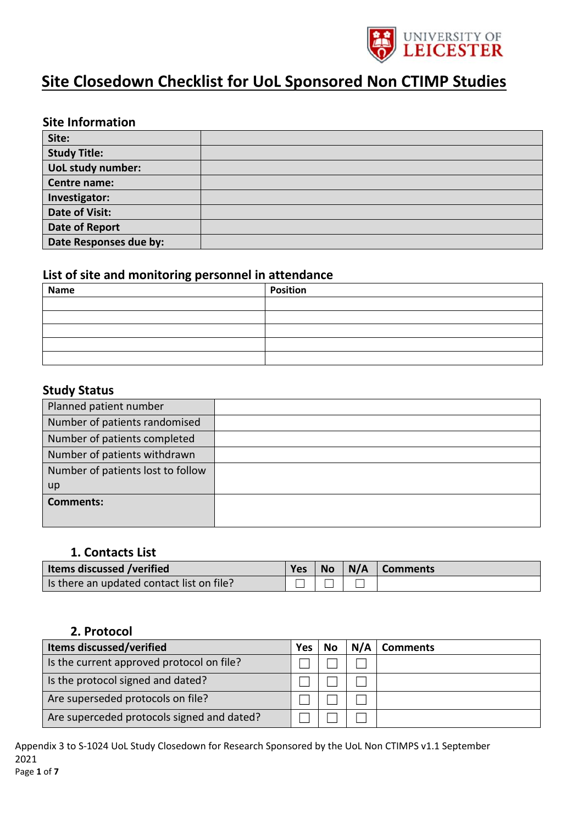

# **Site Closedown Checklist for UoL Sponsored Non CTIMP Studies**

### **Site Information**

| Site:                  |  |
|------------------------|--|
| <b>Study Title:</b>    |  |
| UoL study number:      |  |
| Centre name:           |  |
| Investigator:          |  |
| Date of Visit:         |  |
| Date of Report         |  |
| Date Responses due by: |  |

### **List of site and monitoring personnel in attendance**

| Name | Position |
|------|----------|
|      |          |
|      |          |
|      |          |
|      |          |
|      |          |

#### **Study Status**

| Planned patient number            |  |
|-----------------------------------|--|
| Number of patients randomised     |  |
| Number of patients completed      |  |
| Number of patients withdrawn      |  |
| Number of patients lost to follow |  |
| up                                |  |
| <b>Comments:</b>                  |  |
|                                   |  |

### **1. Contacts List**

| <b>Items discussed /verified</b>            | <b>Yes</b> | <b>No</b> | $\vert$ N/A $\vert$ Comments |
|---------------------------------------------|------------|-----------|------------------------------|
| I is there an updated contact list on file? |            |           |                              |

### **2. Protocol**

| <b>Items discussed/verified</b>            | Yes | No | N/A | <b>Comments</b> |
|--------------------------------------------|-----|----|-----|-----------------|
| Is the current approved protocol on file?  |     |    |     |                 |
| Is the protocol signed and dated?          |     |    |     |                 |
| Are superseded protocols on file?          |     |    |     |                 |
| Are superceded protocols signed and dated? |     |    |     |                 |

Appendix 3 to S-1024 UoL Study Closedown for Research Sponsored by the UoL Non CTIMPS v1.1 September 2021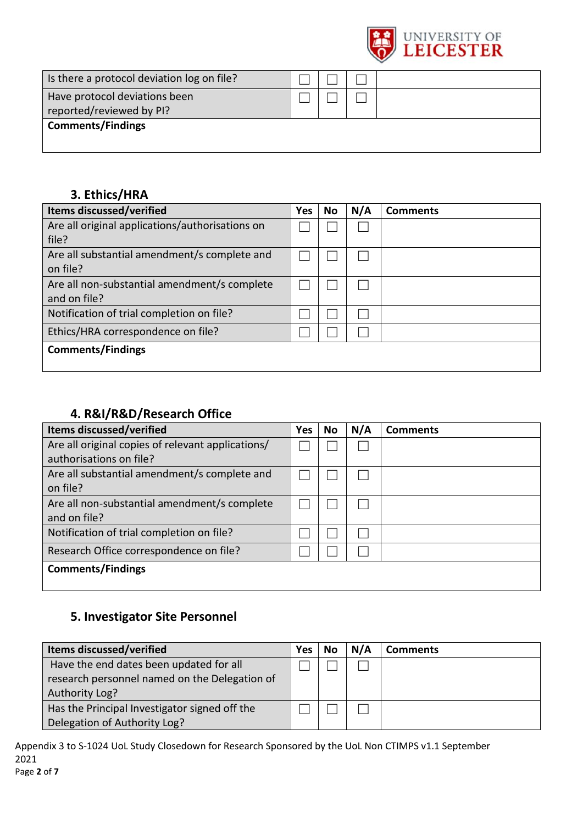

| Is there a protocol deviation log on file?                |  |  |
|-----------------------------------------------------------|--|--|
| Have protocol deviations been<br>reported/reviewed by PI? |  |  |
| <b>Comments/Findings</b>                                  |  |  |

## **3. Ethics/HRA**

| <b>Items discussed/verified</b>                 | Yes | <b>No</b> | N/A | <b>Comments</b> |
|-------------------------------------------------|-----|-----------|-----|-----------------|
| Are all original applications/authorisations on |     |           |     |                 |
| file?                                           |     |           |     |                 |
| Are all substantial amendment/s complete and    |     |           |     |                 |
| on file?                                        |     |           |     |                 |
| Are all non-substantial amendment/s complete    |     |           |     |                 |
| and on file?                                    |     |           |     |                 |
| Notification of trial completion on file?       |     |           |     |                 |
| Ethics/HRA correspondence on file?              |     |           |     |                 |
| <b>Comments/Findings</b>                        |     |           |     |                 |
|                                                 |     |           |     |                 |

### **4. R&I/R&D/Research Office**

| <b>Items discussed/verified</b>                   | <b>Yes</b> | No | N/A | <b>Comments</b> |
|---------------------------------------------------|------------|----|-----|-----------------|
| Are all original copies of relevant applications/ |            |    |     |                 |
| authorisations on file?                           |            |    |     |                 |
| Are all substantial amendment/s complete and      |            |    |     |                 |
| on file?                                          |            |    |     |                 |
| Are all non-substantial amendment/s complete      |            |    |     |                 |
| and on file?                                      |            |    |     |                 |
| Notification of trial completion on file?         |            |    |     |                 |
| Research Office correspondence on file?           |            |    |     |                 |
| <b>Comments/Findings</b>                          |            |    |     |                 |
|                                                   |            |    |     |                 |

## **5. Investigator Site Personnel**

| <b>Items discussed/verified</b>               | <b>Yes</b> | No | N/A | <b>Comments</b> |
|-----------------------------------------------|------------|----|-----|-----------------|
| Have the end dates been updated for all       |            |    |     |                 |
| research personnel named on the Delegation of |            |    |     |                 |
| Authority Log?                                |            |    |     |                 |
| Has the Principal Investigator signed off the |            |    |     |                 |
| Delegation of Authority Log?                  |            |    |     |                 |

Appendix 3 to S-1024 UoL Study Closedown for Research Sponsored by the UoL Non CTIMPS v1.1 September 2021 Page **2** of **7**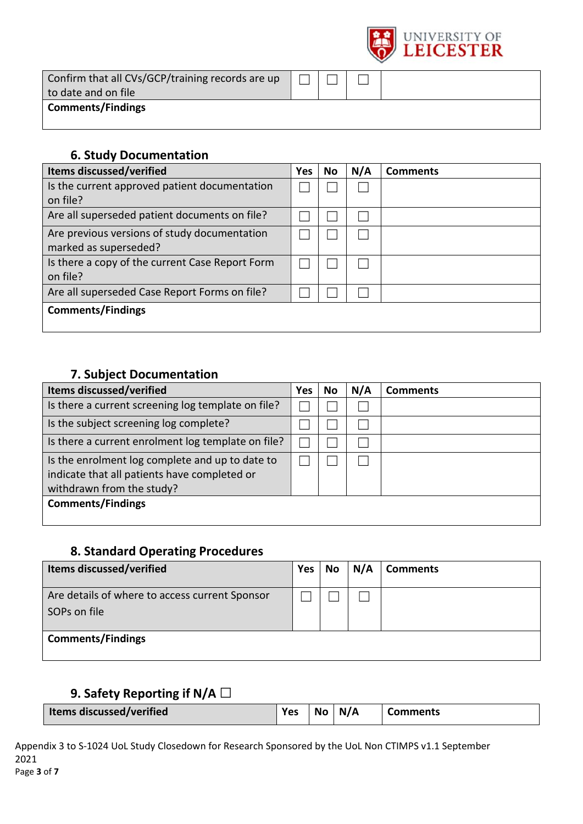

| Confirm that all CVs/GCP/training records are up<br>to date and on file |  |  |
|-------------------------------------------------------------------------|--|--|
| <b>Comments/Findings</b>                                                |  |  |

### **6. Study Documentation**

| <b>Items discussed/verified</b>                 | <b>Yes</b> | No | N/A | <b>Comments</b> |
|-------------------------------------------------|------------|----|-----|-----------------|
| Is the current approved patient documentation   |            |    |     |                 |
| on file?                                        |            |    |     |                 |
| Are all superseded patient documents on file?   |            |    |     |                 |
| Are previous versions of study documentation    |            |    |     |                 |
| marked as superseded?                           |            |    |     |                 |
| Is there a copy of the current Case Report Form |            |    |     |                 |
| on file?                                        |            |    |     |                 |
| Are all superseded Case Report Forms on file?   |            |    |     |                 |
| <b>Comments/Findings</b>                        |            |    |     |                 |
|                                                 |            |    |     |                 |

## **7. Subject Documentation**

| Items discussed/verified                                                                                                     | Yes | No | N/A | <b>Comments</b> |
|------------------------------------------------------------------------------------------------------------------------------|-----|----|-----|-----------------|
| Is there a current screening log template on file?                                                                           |     |    |     |                 |
| Is the subject screening log complete?                                                                                       |     |    |     |                 |
| Is there a current enrolment log template on file?                                                                           |     |    |     |                 |
| Is the enrolment log complete and up to date to<br>indicate that all patients have completed or<br>withdrawn from the study? |     |    |     |                 |
| <b>Comments/Findings</b>                                                                                                     |     |    |     |                 |

## **8. Standard Operating Procedures**

| <b>Items discussed/verified</b>                                | Yes. | No | N/A | <b>Comments</b> |
|----------------------------------------------------------------|------|----|-----|-----------------|
| Are details of where to access current Sponsor<br>SOPs on file |      |    |     |                 |
| <b>Comments/Findings</b>                                       |      |    |     |                 |

## **9. Safety Reporting if N/A □**

| <b>Items discussed/verified</b><br>Yes | N/A<br><b>No</b> | <b>Comments</b> |
|----------------------------------------|------------------|-----------------|
|----------------------------------------|------------------|-----------------|

Appendix 3 to S-1024 UoL Study Closedown for Research Sponsored by the UoL Non CTIMPS v1.1 September 2021 Page **3** of **7**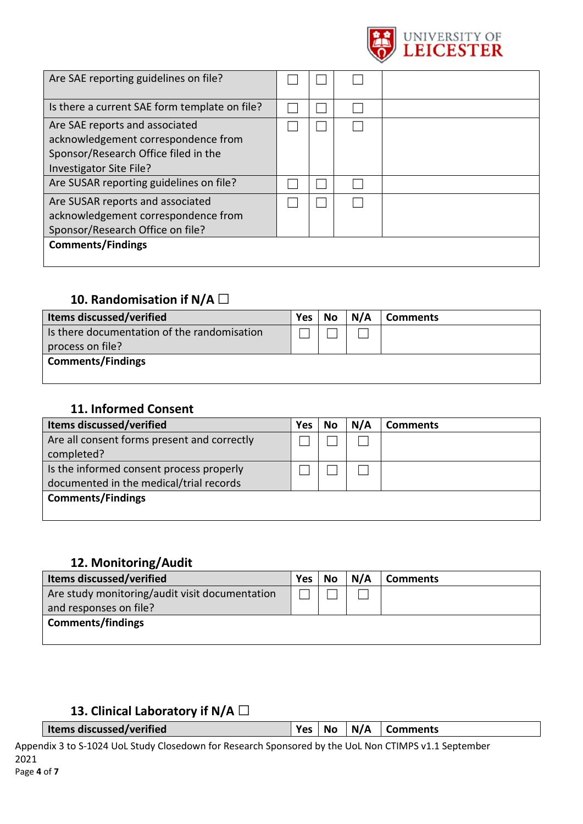

| Are SAE reporting guidelines on file?                                                                                                    |  |  |
|------------------------------------------------------------------------------------------------------------------------------------------|--|--|
| Is there a current SAE form template on file?                                                                                            |  |  |
| Are SAE reports and associated<br>acknowledgement correspondence from<br>Sponsor/Research Office filed in the<br>Investigator Site File? |  |  |
| Are SUSAR reporting guidelines on file?                                                                                                  |  |  |
| Are SUSAR reports and associated<br>acknowledgement correspondence from<br>Sponsor/Research Office on file?<br><b>Comments/Findings</b>  |  |  |
|                                                                                                                                          |  |  |

## **10. Randomisation if N/A □**

| <b>Items discussed/verified</b>             | <b>Yes</b> | <b>No</b> | N/A | Comments |
|---------------------------------------------|------------|-----------|-----|----------|
| Is there documentation of the randomisation |            |           |     |          |
| process on file?                            |            |           |     |          |
| <b>Comments/Findings</b>                    |            |           |     |          |
|                                             |            |           |     |          |

### **11. Informed Consent**

| Items discussed/verified                    | Yes | No | N/A | <b>Comments</b> |
|---------------------------------------------|-----|----|-----|-----------------|
| Are all consent forms present and correctly |     |    |     |                 |
| completed?                                  |     |    |     |                 |
| Is the informed consent process properly    |     |    |     |                 |
| documented in the medical/trial records     |     |    |     |                 |
| <b>Comments/Findings</b>                    |     |    |     |                 |
|                                             |     |    |     |                 |

### **12. Monitoring/Audit**

| <b>Items discussed/verified</b>                | Yes | No | N/A | <b>Comments</b> |
|------------------------------------------------|-----|----|-----|-----------------|
| Are study monitoring/audit visit documentation |     |    |     |                 |
| and responses on file?                         |     |    |     |                 |
| <b>Comments/findings</b>                       |     |    |     |                 |
|                                                |     |    |     |                 |

### **13. Clinical Laboratory if N/A □**

**If Items discussed/verified Ves No N/A Comments** 

| es   No | $\mid N/A$ | ∣ Comn |
|---------|------------|--------|
|---------|------------|--------|

Appendix 3 to S-1024 UoL Study Closedown for Research Sponsored by the UoL Non CTIMPS v1.1 September 2021 Page **4** of **7**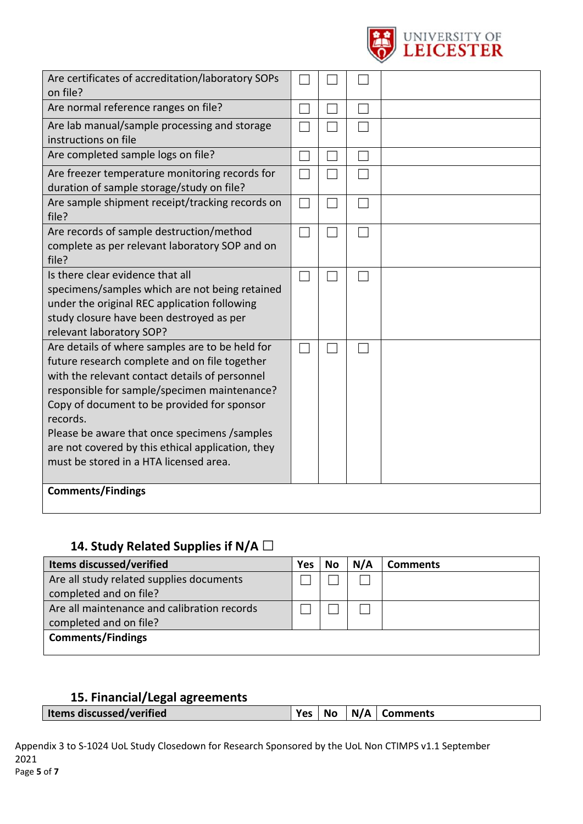

| Are certificates of accreditation/laboratory SOPs<br>on file?                                                                                                                                                                                                                                                                                                                                                |  |  |
|--------------------------------------------------------------------------------------------------------------------------------------------------------------------------------------------------------------------------------------------------------------------------------------------------------------------------------------------------------------------------------------------------------------|--|--|
| Are normal reference ranges on file?                                                                                                                                                                                                                                                                                                                                                                         |  |  |
| Are lab manual/sample processing and storage<br>instructions on file                                                                                                                                                                                                                                                                                                                                         |  |  |
| Are completed sample logs on file?                                                                                                                                                                                                                                                                                                                                                                           |  |  |
| Are freezer temperature monitoring records for<br>duration of sample storage/study on file?                                                                                                                                                                                                                                                                                                                  |  |  |
| Are sample shipment receipt/tracking records on<br>file?                                                                                                                                                                                                                                                                                                                                                     |  |  |
| Are records of sample destruction/method<br>complete as per relevant laboratory SOP and on<br>file?                                                                                                                                                                                                                                                                                                          |  |  |
| Is there clear evidence that all<br>specimens/samples which are not being retained<br>under the original REC application following<br>study closure have been destroyed as per<br>relevant laboratory SOP?                                                                                                                                                                                                   |  |  |
| Are details of where samples are to be held for<br>future research complete and on file together<br>with the relevant contact details of personnel<br>responsible for sample/specimen maintenance?<br>Copy of document to be provided for sponsor<br>records.<br>Please be aware that once specimens /samples<br>are not covered by this ethical application, they<br>must be stored in a HTA licensed area. |  |  |
| <b>Comments/Findings</b>                                                                                                                                                                                                                                                                                                                                                                                     |  |  |

## **14. Study Related Supplies if N/A □**

| <b>Items discussed/verified</b>             | <b>Yes</b> | No | N/A | <b>Comments</b> |
|---------------------------------------------|------------|----|-----|-----------------|
| Are all study related supplies documents    |            |    |     |                 |
| completed and on file?                      |            |    |     |                 |
| Are all maintenance and calibration records |            |    |     |                 |
| completed and on file?                      |            |    |     |                 |
| <b>Comments/Findings</b>                    |            |    |     |                 |
|                                             |            |    |     |                 |

## **15. Financial/Legal agreements**

| $Yes   No   N/A  $ Comments<br>Items discussed/verified |  |  |
|---------------------------------------------------------|--|--|
|                                                         |  |  |

Appendix 3 to S-1024 UoL Study Closedown for Research Sponsored by the UoL Non CTIMPS v1.1 September 2021 Page **5** of **7**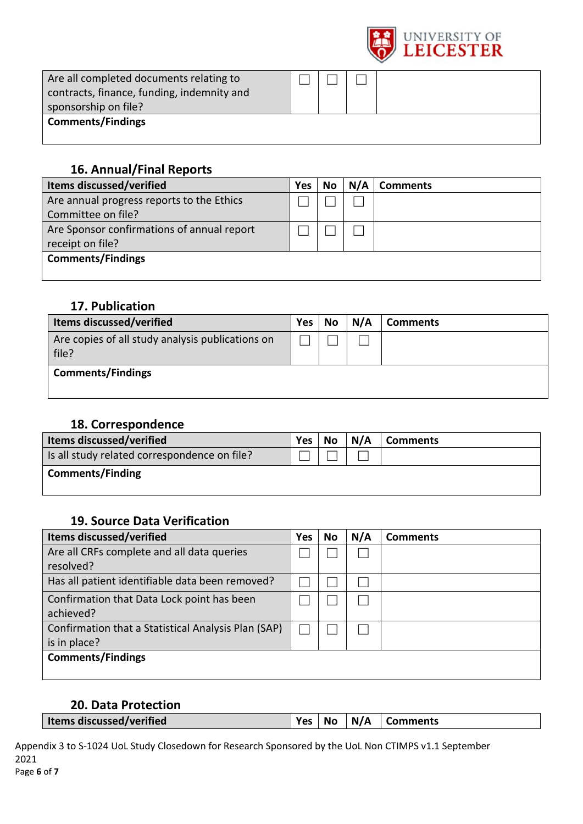

| Are all completed documents relating to<br>contracts, finance, funding, indemnity and<br>sponsorship on file? |  |  |
|---------------------------------------------------------------------------------------------------------------|--|--|
| <b>Comments/Findings</b>                                                                                      |  |  |

### **16. Annual/Final Reports**

| Items discussed/verified                   | Yes | No | N/A | <b>Comments</b> |
|--------------------------------------------|-----|----|-----|-----------------|
| Are annual progress reports to the Ethics  |     |    |     |                 |
| Committee on file?                         |     |    |     |                 |
| Are Sponsor confirmations of annual report |     |    |     |                 |
| receipt on file?                           |     |    |     |                 |
| <b>Comments/Findings</b>                   |     |    |     |                 |
|                                            |     |    |     |                 |

### **17. Publication**

| <b>Items discussed/verified</b>                           | <b>Yes</b> | No | N/A | <b>Comments</b> |
|-----------------------------------------------------------|------------|----|-----|-----------------|
| Are copies of all study analysis publications on<br>file? |            |    |     |                 |
| <b>Comments/Findings</b>                                  |            |    |     |                 |

### **18. Correspondence**

| <b>Items discussed/verified</b>              | <b>Yes</b> | <b>No</b> | N/A | <b>Comments</b> |
|----------------------------------------------|------------|-----------|-----|-----------------|
| Is all study related correspondence on file? |            |           |     |                 |
| <b>Comments/Finding</b>                      |            |           |     |                 |
|                                              |            |           |     |                 |

### **19. Source Data Verification**

| <b>Items discussed/verified</b>                     | <b>Yes</b> | No | N/A | <b>Comments</b> |
|-----------------------------------------------------|------------|----|-----|-----------------|
| Are all CRFs complete and all data queries          |            |    |     |                 |
| resolved?                                           |            |    |     |                 |
| Has all patient identifiable data been removed?     |            |    |     |                 |
| Confirmation that Data Lock point has been          |            |    |     |                 |
| achieved?                                           |            |    |     |                 |
| Confirmation that a Statistical Analysis Plan (SAP) |            |    |     |                 |
| is in place?                                        |            |    |     |                 |
| <b>Comments/Findings</b>                            |            |    |     |                 |
|                                                     |            |    |     |                 |

### **20. Data Protection**

Appendix 3 to S-1024 UoL Study Closedown for Research Sponsored by the UoL Non CTIMPS v1.1 September 2021